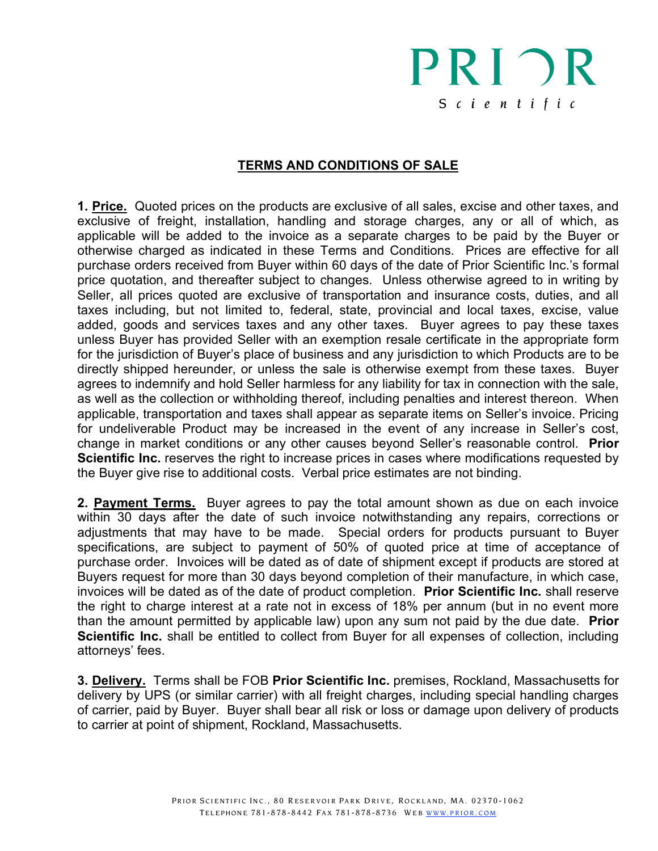## PRIOR  $S$  c i e n t i f i c

## **TERMS AND CONDITIONS OF SALE**

**1. Price.** Quoted prices on the products are exclusive of all sales, excise and other taxes, and exclusive of freight, installation, handling and storage charges, any or all of which, as applicable will be added to the invoice as a separate charges to be paid by the Buyer or otherwise charged as indicated in these Terms and Conditions. Prices are effective for all purchase orders received from Buyer within 60 days of the date of Prior Scientific Inc.'s formal price quotation, and thereafter subject to changes. Unless otherwise agreed to in writing by Seller, all prices quoted are exclusive of transportation and insurance costs, duties, and all taxes including, but not limited to, federal, state, provincial and local taxes, excise, value added, goods and services taxes and any other taxes. Buyer agrees to pay these taxes unless Buyer has provided Seller with an exemption resale certificate in the appropriate form for the jurisdiction of Buyer's place of business and any jurisdiction to which Products are to be directly shipped hereunder, or unless the sale is otherwise exempt from these taxes. Buyer agrees to indemnify and hold Seller harmless for any liability for tax in connection with the sale, as well as the collection or withholding thereof, including penalties and interest thereon. When applicable, transportation and taxes shall appear as separate items on Seller's invoice. Pricing for undeliverable Product may be increased in the event of any increase in Seller's cost, change in market conditions or any other causes beyond Seller's reasonable control. **Prior Scientific Inc.** reserves the right to increase prices in cases where modifications requested by the Buyer give rise to additional costs. Verbal price estimates are not binding.

**2. Payment Terms.** Buyer agrees to pay the total amount shown as due on each invoice within 30 days after the date of such invoice notwithstanding any repairs, corrections or adjustments that may have to be made. Special orders for products pursuant to Buyer specifications, are subject to payment of 50% of quoted price at time of acceptance of purchase order. Invoices will be dated as of date of shipment except if products are stored at Buyers request for more than 30 days beyond completion of their manufacture, in which case, invoices will be dated as of the date of product completion. **Prior Scientific Inc.** shall reserve the right to charge interest at a rate not in excess of 18% per annum (but in no event more than the amount permitted by applicable law) upon any sum not paid by the due date. **Prior Scientific Inc.** shall be entitled to collect from Buyer for all expenses of collection, including attorneys' fees.

**3. Delivery.** Terms shall be FOB **Prior Scientific Inc.** premises, Rockland, Massachusetts for delivery by UPS (or similar carrier) with all freight charges, including special handling charges of carrier, paid by Buyer. Buyer shall bear all risk or loss or damage upon delivery of products to carrier at point of shipment, Rockland, Massachusetts.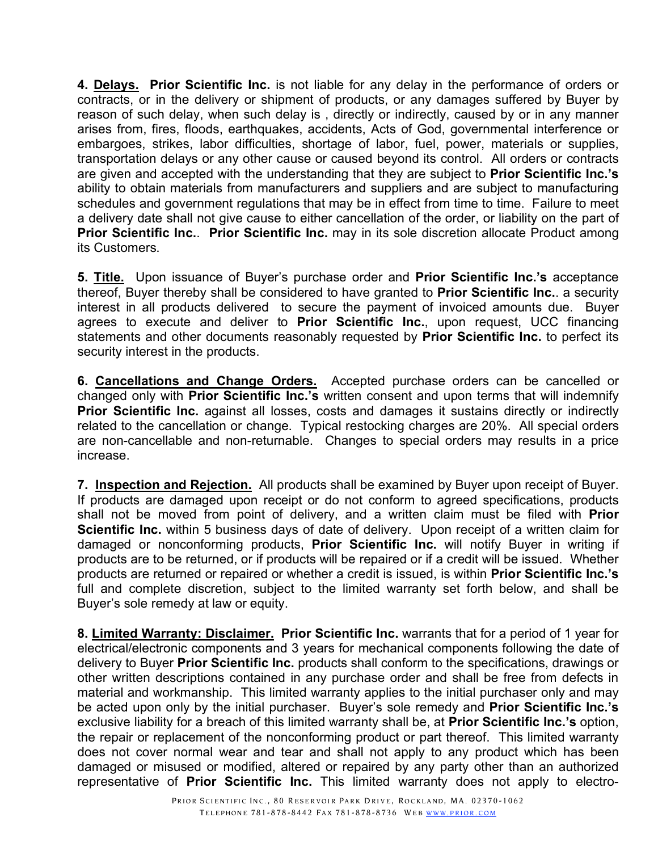**4. Delays. Prior Scientific Inc.** is not liable for any delay in the performance of orders or contracts, or in the delivery or shipment of products, or any damages suffered by Buyer by reason of such delay, when such delay is , directly or indirectly, caused by or in any manner arises from, fires, floods, earthquakes, accidents, Acts of God, governmental interference or embargoes, strikes, labor difficulties, shortage of labor, fuel, power, materials or supplies, transportation delays or any other cause or caused beyond its control. All orders or contracts are given and accepted with the understanding that they are subject to **Prior Scientific Inc.'s** ability to obtain materials from manufacturers and suppliers and are subject to manufacturing schedules and government regulations that may be in effect from time to time. Failure to meet a delivery date shall not give cause to either cancellation of the order, or liability on the part of **Prior Scientific Inc.**. **Prior Scientific Inc.** may in its sole discretion allocate Product among its Customers.

**5. Title.** Upon issuance of Buyer's purchase order and **Prior Scientific Inc.'s** acceptance thereof, Buyer thereby shall be considered to have granted to **Prior Scientific Inc.**. a security interest in all products delivered to secure the payment of invoiced amounts due. Buyer agrees to execute and deliver to **Prior Scientific Inc.**, upon request, UCC financing statements and other documents reasonably requested by **Prior Scientific Inc.** to perfect its security interest in the products.

**6. Cancellations and Change Orders.** Accepted purchase orders can be cancelled or changed only with **Prior Scientific Inc.'s** written consent and upon terms that will indemnify **Prior Scientific Inc.** against all losses, costs and damages it sustains directly or indirectly related to the cancellation or change. Typical restocking charges are 20%. All special orders are non-cancellable and non-returnable. Changes to special orders may results in a price increase.

**7. Inspection and Rejection.** All products shall be examined by Buyer upon receipt of Buyer. If products are damaged upon receipt or do not conform to agreed specifications, products shall not be moved from point of delivery, and a written claim must be filed with **Prior Scientific Inc.** within 5 business days of date of delivery. Upon receipt of a written claim for damaged or nonconforming products, **Prior Scientific Inc.** will notify Buyer in writing if products are to be returned, or if products will be repaired or if a credit will be issued. Whether products are returned or repaired or whether a credit is issued, is within **Prior Scientific Inc.'s** full and complete discretion, subject to the limited warranty set forth below, and shall be Buyer's sole remedy at law or equity.

**8. Limited Warranty: Disclaimer. Prior Scientific Inc.** warrants that for a period of 1 year for electrical/electronic components and 3 years for mechanical components following the date of delivery to Buyer **Prior Scientific Inc.** products shall conform to the specifications, drawings or other written descriptions contained in any purchase order and shall be free from defects in material and workmanship. This limited warranty applies to the initial purchaser only and may be acted upon only by the initial purchaser. Buyer's sole remedy and **Prior Scientific Inc.'s** exclusive liability for a breach of this limited warranty shall be, at **Prior Scientific Inc.'s** option, the repair or replacement of the nonconforming product or part thereof. This limited warranty does not cover normal wear and tear and shall not apply to any product which has been damaged or misused or modified, altered or repaired by any party other than an authorized representative of **Prior Scientific Inc.** This limited warranty does not apply to electro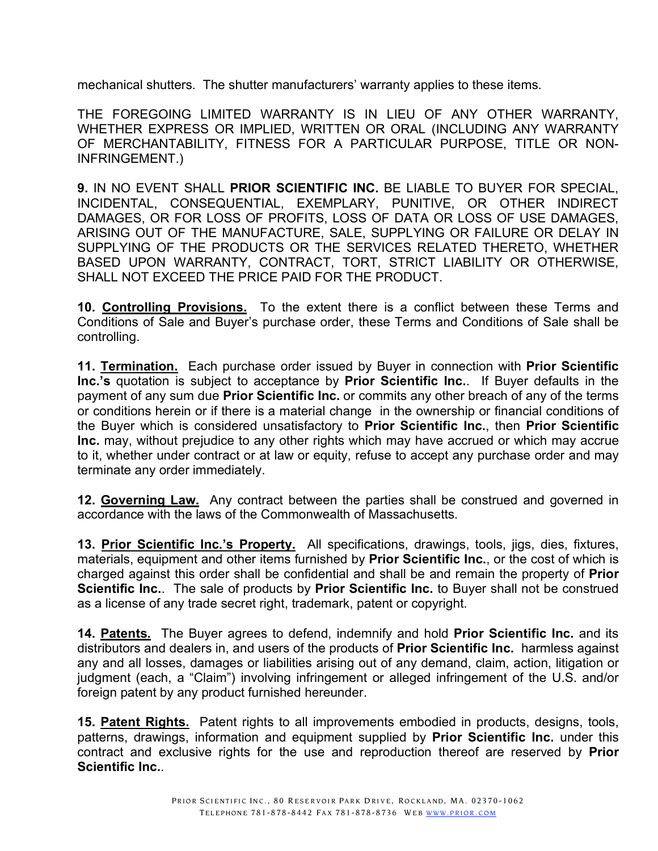mechanical shutters. The shutter manufacturers' warranty applies to these items.

THE FOREGOING LIMITED WARRANTY IS IN LIEU OF ANY OTHER WARRANTY, WHETHER EXPRESS OR IMPLIED, WRITTEN OR ORAL (INCLUDING ANY WARRANTY OF MERCHANTABILITY, FITNESS FOR A PARTICULAR PURPOSE, TITLE OR NON-INFRINGEMENT.)

**9.** IN NO EVENT SHALL **PRIOR SCIENTIFIC INC.** BE LIABLE TO BUYER FOR SPECIAL, INCIDENTAL, CONSEQUENTIAL, EXEMPLARY, PUNITIVE, OR OTHER INDIRECT DAMAGES, OR FOR LOSS OF PROFITS, LOSS OF DATA OR LOSS OF USE DAMAGES, ARISING OUT OF THE MANUFACTURE, SALE, SUPPLYING OR FAILURE OR DELAY IN SUPPLYING OF THE PRODUCTS OR THE SERVICES RELATED THERETO, WHETHER BASED UPON WARRANTY, CONTRACT, TORT, STRICT LIABILITY OR OTHERWISE, SHALL NOT EXCEED THE PRICE PAID FOR THE PRODUCT.

**10. Controlling Provisions.** To the extent there is a conflict between these Terms and Conditions of Sale and Buyer's purchase order, these Terms and Conditions of Sale shall be controlling.

**11. Termination.** Each purchase order issued by Buyer in connection with **Prior Scientific Inc.'s** quotation is subject to acceptance by **Prior Scientific Inc.**. If Buyer defaults in the payment of any sum due **Prior Scientific Inc.** or commits any other breach of any of the terms or conditions herein or if there is a material change in the ownership or financial conditions of the Buyer which is considered unsatisfactory to **Prior Scientific Inc.**, then **Prior Scientific Inc.** may, without prejudice to any other rights which may have accrued or which may accrue to it, whether under contract or at law or equity, refuse to accept any purchase order and may terminate any order immediately.

**12. Governing Law.** Any contract between the parties shall be construed and governed in accordance with the laws of the Commonwealth of Massachusetts.

**13. Prior Scientific Inc.'s Property.** All specifications, drawings, tools, jigs, dies, fixtures, materials, equipment and other items furnished by **Prior Scientific Inc.**, or the cost of which is charged against this order shall be confidential and shall be and remain the property of **Prior Scientific Inc.**. The sale of products by **Prior Scientific Inc.** to Buyer shall not be construed as a license of any trade secret right, trademark, patent or copyright.

**14. Patents.** The Buyer agrees to defend, indemnify and hold **Prior Scientific Inc.** and its distributors and dealers in, and users of the products of **Prior Scientific Inc.** harmless against any and all losses, damages or liabilities arising out of any demand, claim, action, litigation or judgment (each, a "Claim") involving infringement or alleged infringement of the U.S. and/or foreign patent by any product furnished hereunder.

**15. Patent Rights.** Patent rights to all improvements embodied in products, designs, tools, patterns, drawings, information and equipment supplied by **Prior Scientific Inc.** under this contract and exclusive rights for the use and reproduction thereof are reserved by **Prior Scientific Inc.**.